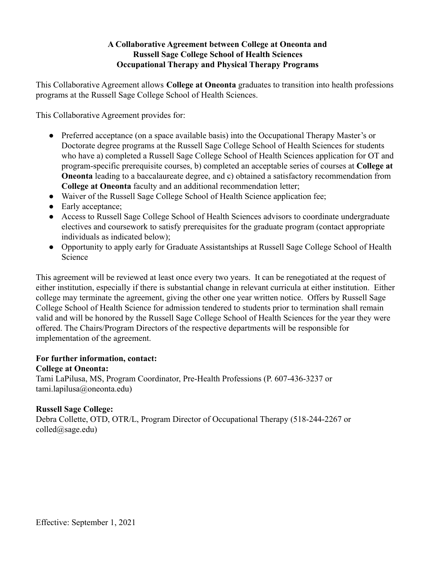## **A Collaborative Agreement between College at Oneonta and Russell Sage College School of Health Sciences Occupational Therapy and Physical Therapy Programs**

This Collaborative Agreement allows **College at Oneonta** graduates to transition into health professions programs at the Russell Sage College School of Health Sciences.

This Collaborative Agreement provides for:

- Preferred acceptance (on a space available basis) into the Occupational Therapy Master's or Doctorate degree programs at the Russell Sage College School of Health Sciences for students who have a) completed a Russell Sage College School of Health Sciences application for OT and program-specific prerequisite courses, b) completed an acceptable series of courses at **College at Oneonta** leading to a baccalaureate degree, and c) obtained a satisfactory recommendation from **College at Oneonta** faculty and an additional recommendation letter;
- Waiver of the Russell Sage College School of Health Science application fee;
- Early acceptance:
- Access to Russell Sage College School of Health Sciences advisors to coordinate undergraduate electives and coursework to satisfy prerequisites for the graduate program (contact appropriate individuals as indicated below);
- Opportunity to apply early for Graduate Assistantships at Russell Sage College School of Health Science

This agreement will be reviewed at least once every two years. It can be renegotiated at the request of either institution, especially if there is substantial change in relevant curricula at either institution. Either college may terminate the agreement, giving the other one year written notice. Offers by Russell Sage College School of Health Science for admission tendered to students prior to termination shall remain valid and will be honored by the Russell Sage College School of Health Sciences for the year they were offered. The Chairs/Program Directors of the respective departments will be responsible for implementation of the agreement.

#### **For further information, contact:**

#### **College at Oneonta:**

Tami LaPilusa, MS, Program Coordinator, Pre-Health Professions (P. 607-436-3237 or tami.lapilusa@oneonta.edu)

## **Russell Sage College:**

Debra Collette, OTD, OTR/L, Program Director of Occupational Therapy (518-244-2267 or colled@sage.edu)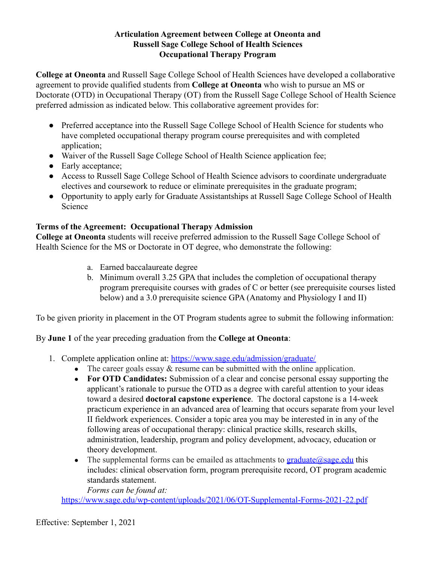#### **Articulation Agreement between College at Oneonta and Russell Sage College School of Health Sciences Occupational Therapy Program**

**College at Oneonta** and Russell Sage College School of Health Sciences have developed a collaborative agreement to provide qualified students from **College at Oneonta** who wish to pursue an MS or Doctorate (OTD) in Occupational Therapy (OT) from the Russell Sage College School of Health Science preferred admission as indicated below. This collaborative agreement provides for:

- Preferred acceptance into the Russell Sage College School of Health Science for students who have completed occupational therapy program course prerequisites and with completed application:
- Waiver of the Russell Sage College School of Health Science application fee:
- Early acceptance;
- Access to Russell Sage College School of Health Science advisors to coordinate undergraduate electives and coursework to reduce or eliminate prerequisites in the graduate program;
- Opportunity to apply early for Graduate Assistantships at Russell Sage College School of Health Science

# **Terms of the Agreement: Occupational Therapy Admission**

**College at Oneonta** students will receive preferred admission to the Russell Sage College School of Health Science for the MS or Doctorate in OT degree, who demonstrate the following:

- a. Earned baccalaureate degree
- b. Minimum overall 3.25 GPA that includes the completion of occupational therapy program prerequisite courses with grades of C or better (see prerequisite courses listed below) and a 3.0 prerequisite science GPA (Anatomy and Physiology I and II)

To be given priority in placement in the OT Program students agree to submit the following information:

By **June 1** of the year preceding graduation from the **College at Oneonta**:

- 1. Complete application online at: <https://www.sage.edu/admission/graduate/>
	- The career goals essay  $\&$  resume can be submitted with the online application.
	- **For OTD Candidates:** Submission of a clear and concise personal essay supporting the applicant's rationale to pursue the OTD as a degree with careful attention to your ideas toward a desired **doctoral capstone experience**. The doctoral capstone is a 14-week practicum experience in an advanced area of learning that occurs separate from your level II fieldwork experiences. Consider a topic area you may be interested in in any of the following areas of occupational therapy: clinical practice skills, research skills, administration, leadership, program and policy development, advocacy, education or theory development.
	- The supplemental forms can be emailed as attachments to  $graduate@sa$ ge.edu this includes: clinical observation form, program prerequisite record, OT program academic standards statement.

*Forms can be found at:*

<https://www.sage.edu/wp-content/uploads/2021/06/OT-Supplemental-Forms-2021-22.pdf>